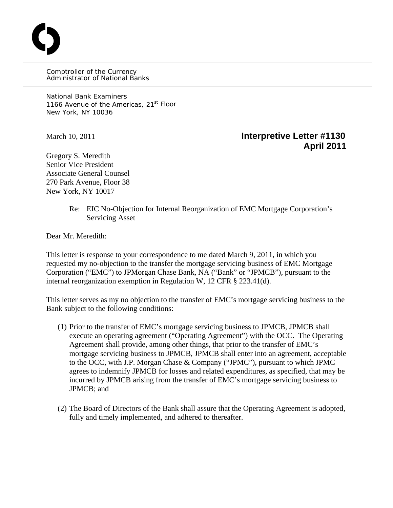Comptroller of the Currency Administrator of National Banks

National Bank Examiners 1166 Avenue of the Americas, 21<sup>st</sup> Floor New York, NY 10036

O

## March 10, 2011 **Interpretive Letter #1130 April 2011**

Gregory S. Meredith Senior Vice President Associate General Counsel 270 Park Avenue, Floor 38 New York, NY 10017

> Re: EIC No-Objection for Internal Reorganization of EMC Mortgage Corporation's Servicing Asset

Dear Mr. Meredith:

This letter is response to your correspondence to me dated March 9, 2011, in which you requested my no-objection to the transfer the mortgage servicing business of EMC Mortgage Corporation ("EMC") to JPMorgan Chase Bank, NA ("Bank" or "JPMCB"), pursuant to the internal reorganization exemption in Regulation W, 12 CFR § 223.41(d).

This letter serves as my no objection to the transfer of EMC's mortgage servicing business to the Bank subject to the following conditions:

- (1) Prior to the transfer of EMC's mortgage servicing business to JPMCB, JPMCB shall execute an operating agreement ("Operating Agreement") with the OCC. The Operating Agreement shall provide, among other things, that prior to the transfer of EMC's mortgage servicing business to JPMCB, JPMCB shall enter into an agreement, acceptable to the OCC, with J.P. Morgan Chase & Company ("JPMC"), pursuant to which JPMC agrees to indemnify JPMCB for losses and related expenditures, as specified, that may be incurred by JPMCB arising from the transfer of EMC's mortgage servicing business to JPMCB; and
- (2) The Board of Directors of the Bank shall assure that the Operating Agreement is adopted, fully and timely implemented, and adhered to thereafter.